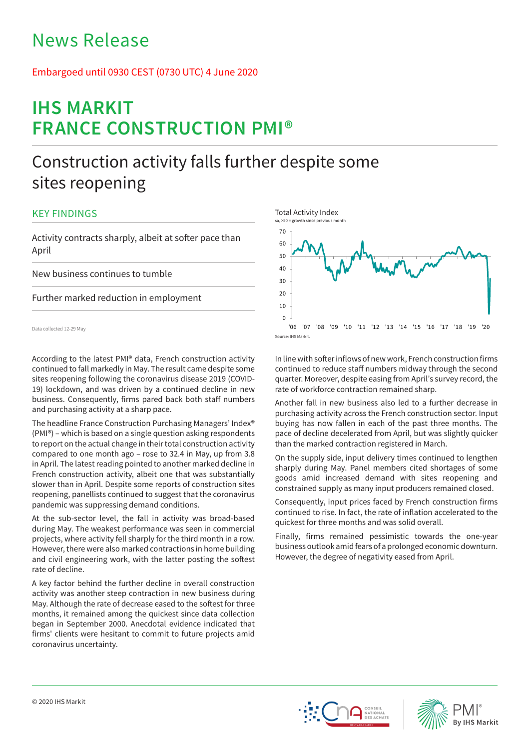## News Release

## Embargoed until 0930 CEST (0730 UTC) 4 June 2020

# **IHS MARKIT FRANCE CONSTRUCTION PMI®**

## Construction activity falls further despite some sites reopening

## KEY FINDINGS

Activity contracts sharply, albeit at softer pace than April

New business continues to tumble

Further marked reduction in employment

Data collected 12-29 May

According to the latest PMI® data, French construction activity continued to fall markedly in May. The result came despite some sites reopening following the coronavirus disease 2019 (COVID-19) lockdown, and was driven by a continued decline in new business. Consequently, firms pared back both staff numbers and purchasing activity at a sharp pace.

The headline France Construction Purchasing Managers' Index® (PMI®) – which is based on a single question asking respondents to report on the actual change in their total construction activity compared to one month ago – rose to 32.4 in May, up from 3.8 in April. The latest reading pointed to another marked decline in French construction activity, albeit one that was substantially slower than in April. Despite some reports of construction sites reopening, panellists continued to suggest that the coronavirus pandemic was suppressing demand conditions.

At the sub-sector level, the fall in activity was broad-based during May. The weakest performance was seen in commercial projects, where activity fell sharply for the third month in a row. However, there were also marked contractions in home building and civil engineering work, with the latter posting the softest rate of decline.

A key factor behind the further decline in overall construction activity was another steep contraction in new business during May. Although the rate of decrease eased to the softest for three months, it remained among the quickest since data collection began in September 2000. Anecdotal evidence indicated that firms' clients were hesitant to commit to future projects amid coronavirus uncertainty.



In line with softer inflows of new work, French construction firms continued to reduce staff numbers midway through the second quarter. Moreover, despite easing from April's survey record, the rate of workforce contraction remained sharp.

Another fall in new business also led to a further decrease in purchasing activity across the French construction sector. Input buying has now fallen in each of the past three months. The pace of decline decelerated from April, but was slightly quicker than the marked contraction registered in March.

On the supply side, input delivery times continued to lengthen sharply during May. Panel members cited shortages of some goods amid increased demand with sites reopening and constrained supply as many input producers remained closed.

Consequently, input prices faced by French construction firms continued to rise. In fact, the rate of inflation accelerated to the quickest for three months and was solid overall.

Finally, firms remained pessimistic towards the one-year business outlook amid fears of a prolonged economic downturn. However, the degree of negativity eased from April.